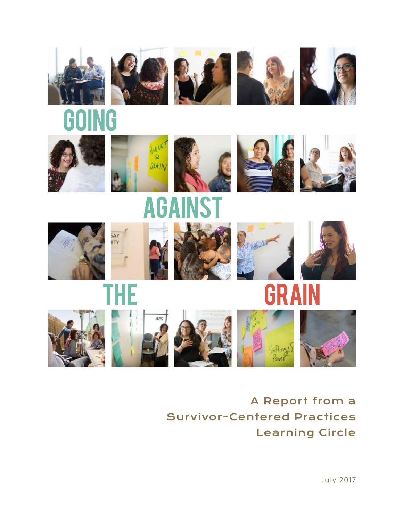































G













July 2017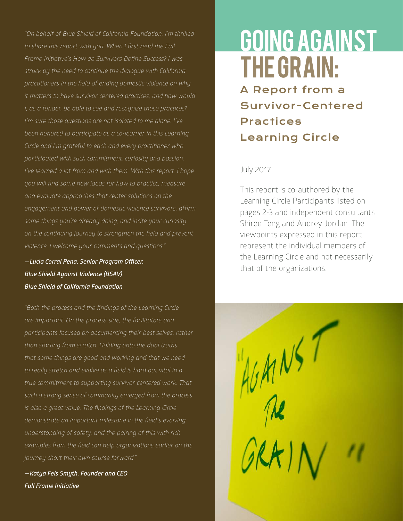*"On behalf of Blue Shield of California Foundation, I'm thrilled to share this report with you. When I first read the Full Frame Initiative's How do Survivors Define Success? I was struck by the need to continue the dialogue with California practitioners in the field of ending domestic violence on why it matters to have survivor-centered practices, and how would I, as a funder, be able to see and recognize those practices? I'm sure those questions are not isolated to me alone. I've been honored to participate as a co-learner in this Learning Circle and I'm grateful to each and every practitioner who participated with such commitment, curiosity and passion. I've learned a lot from and with them. With this report, I hope you will find some new ideas for how to practice, measure and evaluate approaches that center solutions on the engagement and power of domestic violence survivors, affirm some things you're already doing, and incite your curiosity on the continuing journey to strengthen the field and prevent violence. I welcome your comments and questions."* 

*—Lucia Corral Pena, Senior Program Officer, Blue Shield Against Violence (BSAV) Blue Shield of California Foundation*

*"Both the process and the findings of the Learning Circle are important. On the process side, the facilitators and participants focused on documenting their best selves, rather than starting from scratch. Holding onto the dual truths that some things are good and working and that we need to really stretch and evolve as a field is hard but vital in a true commitment to supporting survivor-centered work. That such a strong sense of community emerged from the process is also a great value. The findings of the Learning Circle demonstrate an important milestone in the field's evolving understanding of safety, and the pairing of this with rich examples from the field can help organizations earlier on the journey chart their own course forward."*

*—Katya Fels Smyth, Founder and CEO Full Frame Initiative*

# Going Against the Grain:

A Report from a Survivor-Centered Practices Learning Circle

#### July 2017

This report is co-authored by the Learning Circle Participants listed on pages 2-3 and independent consultants Shiree Teng and Audrey Jordan. The viewpoints expressed in this report represent the individual members of the Learning Circle and not necessarily that of the organizations.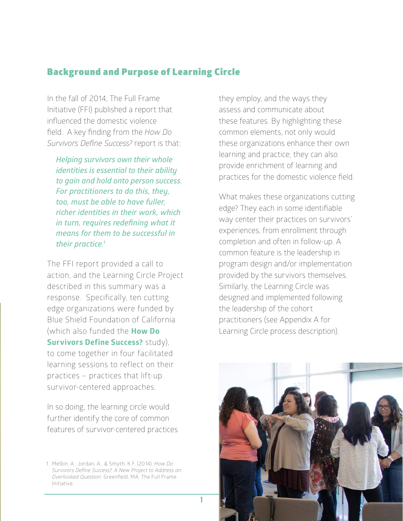### Background and Purpose of Learning Circle

In the fall of 2014, The Full Frame Initiative (FFI) published a report that influenced the domestic violence field. A key finding from the *How Do Survivors Define Success?* report is that:

*Helping survivors own their whole identities is essential to their ability to gain and hold onto person success. For practitioners to do this, they, too, must be able to have fuller, richer identities in their work, which in turn, requires redefining what it means for them to be successful in their practice.1* 

The FFI report provided a call to action, and the Learning Circle Project described in this summary was a response. Specifically, ten cutting edge organizations were funded by Blue Shield Foundation of California (which also funded the **How Do Survivors Define Success?** study), to come together in four facilitated learning sessions to reflect on their practices – practices that lift-up survivor-centered approaches.

In so doing, the learning circle would further identify the core of common features of survivor-centered practices they employ, and the ways they assess and communicate about these features. By highlighting these common elements, not only would these organizations enhance their own learning and practice; they can also provide enrichment of learning and practices for the domestic violence field.

What makes these organizations cutting edge? They each in some identifiable way center their practices on survivors' experiences, from enrollment through completion and often in follow-up. A common feature is the leadership in program design and/or implementation provided by the survivors themselves. Similarly, the Learning Circle was designed and implemented following the leadership of the cohort practitioners (see Appendix A for Learning Circle process description).



<sup>1.</sup> Melbin, A., Jordan, A., & Smyth, K.F. (2014). *How Do Survivors Define Success?: A New Project to Address an Overlooked Question.* Greenfield, MA: The Full Frame Initiative.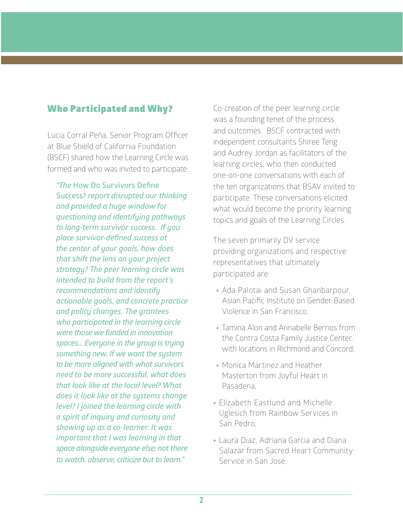### Who Participated and Why?

Lucia Corral Peña, Senior Program Officer at Blue Shield of California Foundation (BSCF) shared how the Learning Circle was formed and who was invited to participate:

*"The* **How Do Survivors Define Success?** *report disrupted our thinking and provided a huge window for questioning and identifying pathways to long-term survivor success. If you place survivor-defined success at the center of your goals, how does that shift the lens on your project strategy? The peer learning circle was intended to build from the report's recommendations and identify actionable goals, and concrete practice and policy changes. The grantees who participated in the learning circle were those we funded in innovation spaces... Everyone in the group is trying something new. If we want the system to be more aligned with what survivors need to be more successful, what does that look like at the local level? What does it look like at the systems change level? I joined the learning circle with a spirit of inquiry and curiosity and showing up as a co-learner. It was important that I was learning in that space alongside everyone else; not there to watch, observe, criticize but to learn."*

Co-creation of the peer learning circle was a founding tenet of the process and outcomes. BSCF contracted with independent consultants Shiree Teng and Audrey Jordan as facilitators of the learning circles, who then conducted one-on-one conversations with each of the ten organizations that BSAV invited to participate. These conversations elicited what would become the priority learning topics and goals of the Learning Circles.

The seven primarily DV service providing organizations and respective representatives that ultimately participated are:

- Ada Palotai and Susan Ghanbarpour, Asian Pacific Institute on Gender-Based Violence in San Francisco;
- Tamina Alon and Annabelle Berrios from the Contra Costa Family Justice Center, with locations in Richmond and Concord;
- Monica Martinez and Heather Masterton from Joyful Heart in Pasadena;
- Elizabeth Eastlund and Michelle Uglesich from Rainbow Services in San Pedro;
- Laura Diaz, Adriana Garcia and Diana Salazar from Sacred Heart Community Service in San Jose;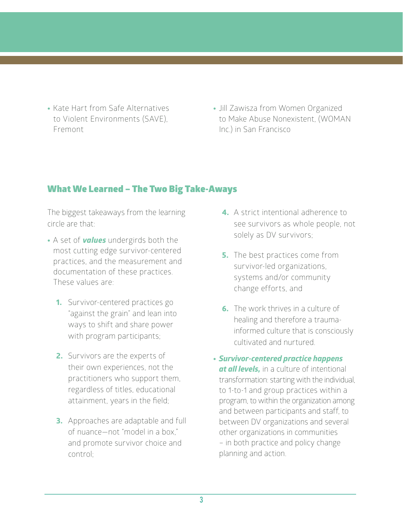- Kate Hart from Safe Alternatives to Violent Environments (SAVE), Fremont
- Jill Zawisza from Women Organized to Make Abuse Nonexistent, (WOMAN Inc.) in San Francisco

### What We Learned – The Two Big Take-Aways

The biggest takeaways from the learning circle are that:

- A set of *values* undergirds both the most cutting edge survivor-centered practices, and the measurement and documentation of these practices. These values are:
	- **1.** Survivor-centered practices go "against the grain" and lean into ways to shift and share power with program participants;
	- **2.** Survivors are the experts of their own experiences, not the practitioners who support them, regardless of titles, educational attainment, years in the field;
	- **3.** Approaches are adaptable and full of nuance—not "model in a box," and promote survivor choice and control;
- **4.** A strict intentional adherence to see survivors as whole people, not solely as DV survivors;
- **5.** The best practices come from survivor-led organizations, systems and/or community change efforts, and
- **6.** The work thrives in a culture of healing and therefore a traumainformed culture that is consciously cultivated and nurtured.
- *Survivor-centered practice happens at all levels,* in a culture of intentional transformation: starting with the individual, to 1-to-1 and group practices within a program, to within the organization among and between participants and staff, to between DV organizations and several other organizations in communities – in both practice and policy change planning and action.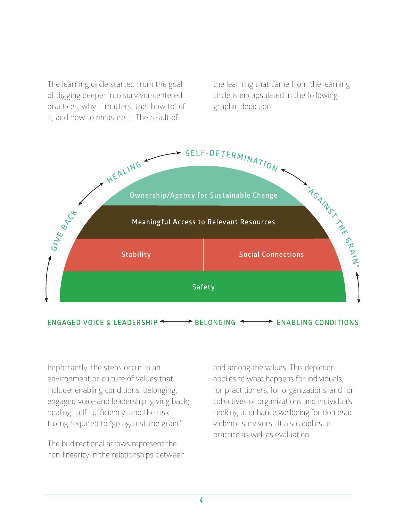The learning circle started from the goal of digging deeper into survivor-centered practices, why it matters, the "how to" of it, and how to measure it. The result of

the learning that came from the learning circle is encapsulated in the following graphic depiction:



Importantly, the steps occur in an environment or culture of values that include: enabling conditions, belonging, engaged voice and leadership; giving back; healing; self-sufficiency; and the risktaking required to "go against the grain."

The bi-directional arrows represent the non-linearity in the relationships between

and among the values. This depiction applies to what happens for individuals, for practitioners, for organizations, and for collectives of organizations and individuals seeking to enhance wellbeing for domestic violence survivors. It also applies to practice as well as evaluation.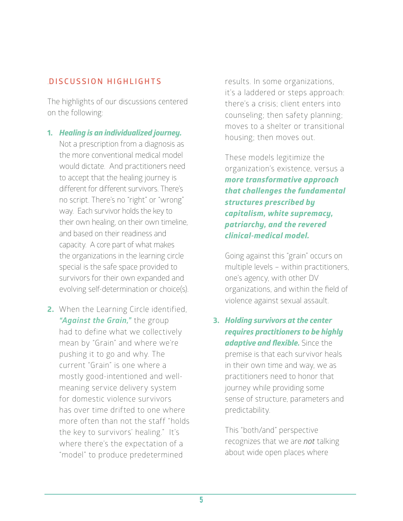### .**DISCUSSION HIGHLIGHTS**

The highlights of our discussions centered on the following:

- **1.** *Healing is an individualized journey.* Not a prescription from a diagnosis as the more conventional medical model would dictate. And practitioners need to accept that the healing journey is different for different survivors. There's no script. There's no "right" or "wrong" way. Each survivor holds the key to their own healing, on their own timeline, and based on their readiness and capacity. A core part of what makes the organizations in the learning circle special is the safe space provided to survivors for their own expanded and evolving self-determination or choice(s).
- **2.** When the Learning Circle identified, *"Against the Grain,"* the group had to define what we collectively mean by "Grain" and where we're pushing it to go and why. The current "Grain" is one where a mostly good-intentioned and wellmeaning service delivery system for domestic violence survivors has over time drifted to one where more often than not the staff "holds the key to survivors' healing." It's where there's the expectation of a "model" to produce predetermined

results. In some organizations, it's a laddered or steps approach: there's a crisis; client enters into counseling; then safety planning; moves to a shelter or transitional housing; then moves out.

These models legitimize the organization's existence, versus a *more transformative approach that challenges the fundamental structures prescribed by capitalism, white supremacy, patriarchy, and the revered clinical-medical model.*

Going against this "grain" occurs on multiple levels – within practitioners, one's agency, with other DV organizations, and within the field of violence against sexual assault.

**3.** *Holding survivors at the center requires practitioners to be highly adaptive and flexible.* Since the premise is that each survivor heals in their own time and way, we as practitioners need to honor that journey while providing some sense of structure, parameters and predictability.

This "both/and" perspective recognizes that we are *not* talking about wide open places where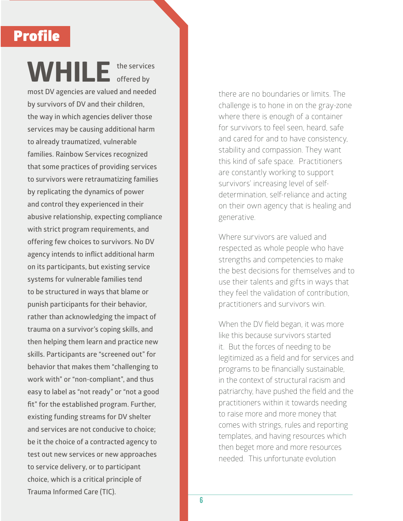### Profile

**WHILE the services offered by most DV agencies are valued and needed by survivors of DV and their children, the way in which agencies deliver those services may be causing additional harm to already traumatized, vulnerable families. Rainbow Services recognized that some practices of providing services to survivors were retraumatizing families by replicating the dynamics of power and control they experienced in their abusive relationship, expecting compliance with strict program requirements, and offering few choices to survivors. No DV agency intends to inflict additional harm on its participants, but existing service systems for vulnerable families tend to be structured in ways that blame or punish participants for their behavior, rather than acknowledging the impact of trauma on a survivor's coping skills, and then helping them learn and practice new skills. Participants are "screened out" for behavior that makes them "challenging to work with" or "non-compliant", and thus easy to label as "not ready" or "not a good fit" for the established program. Further, existing funding streams for DV shelter and services are not conducive to choice; be it the choice of a contracted agency to test out new services or new approaches to service delivery, or to participant choice, which is a critical principle of Trauma Informed Care (TIC).**

there are no boundaries or limits. The challenge is to hone in on the gray-zone where there is enough of a container for survivors to feel seen, heard, safe and cared for and to have consistency, stability and compassion. They want this kind of safe space. Practitioners are constantly working to support survivors' increasing level of selfdetermination, self-reliance and acting on their own agency that is healing and generative.

Where survivors are valued and respected as whole people who have strengths and competencies to make the best decisions for themselves and to use their talents and gifts in ways that they feel the validation of contribution, practitioners and survivors win.

When the DV field began, it was more like this because survivors started it. But the forces of needing to be legitimized as a field and for services and programs to be financially sustainable, in the context of structural racism and patriarchy, have pushed the field and the practitioners within it towards needing to raise more and more money that comes with strings, rules and reporting templates, and having resources which then beget more and more resources needed. This unfortunate evolution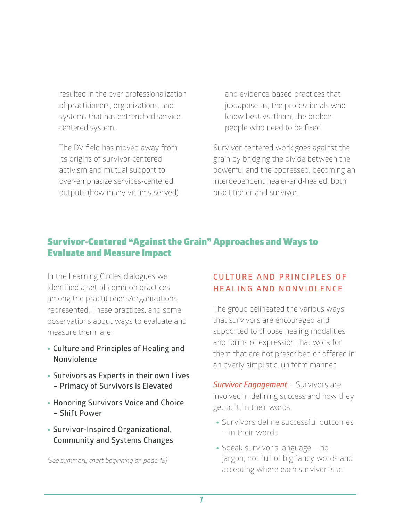resulted in the over-professionalization of practitioners, organizations, and systems that has entrenched servicecentered system.

The DV field has moved away from its origins of survivor-centered activism and mutual support to over-emphasize services-centered outputs (how many victims served)

and evidence-based practices that juxtapose us, the professionals who know best vs. them, the broken people who need to be fixed.

Survivor-centered work goes against the grain by bridging the divide between the powerful and the oppressed, becoming an interdependent healer-and-healed, both practitioner and survivor.

### Survivor-Centered "Against the Grain" Approaches and Ways to Evaluate and Measure Impact

In the Learning Circles dialogues we identified a set of common practices among the practitioners/organizations represented. These practices, and some observations about ways to evaluate and measure them, are:

- **Culture and Principles of Healing and Nonviolence**
- **Survivors as Experts in their own Lives – Primacy of Survivors is Elevated**
- **Honoring Survivors Voice and Choice – Shift Power**
- **Survivor-Inspired Organizational, Community and Systems Changes**

*(See summary chart beginning on page 18}*

### **CULTURE AND PRINCIPLES OF H E A L I N G A N D N O N V I O L E N C E**

The group delineated the various ways that survivors are encouraged and supported to choose healing modalities and forms of expression that work for them that are not prescribed or offered in an overly simplistic, uniform manner:

*Survivor Engagement* – Survivors are involved in defining success and how they get to it, in their words.

- Survivors define successful outcomes – in their words
- Speak survivor's language no jargon, not full of big fancy words and accepting where each survivor is at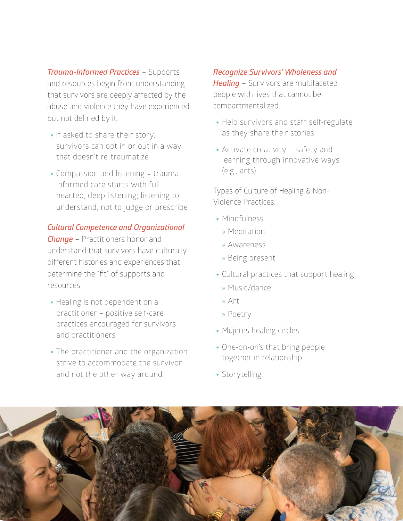*Trauma-Informed Practices* – Supports and resources begin from understanding that survivors are deeply affected by the abuse and violence they have experienced but not defined by it.

- If asked to share their story, survivors can opt in or out in a way that doesn't re-traumatize
- Compassion and listening = trauma informed care starts with fullhearted, deep listening; listening to understand, not to judge or prescribe

#### *Cultural Competence and Organizational*

*Change* – Practitioners honor and understand that survivors have culturally different histories and experiences that determine the "fit" of supports and resources.

- Healing is not dependent on a practitioner – positive self-care practices encouraged for survivors and practitioners
- The practitioner and the organization strive to accommodate the survivor and not the other way around.

#### *Recognize Survivors' Wholeness and*

*Healing* – Survivors are multifaceted people with lives that cannot be compartmentalized.

- Help survivors and staff self-regulate as they share their stories
- Activate creativity safety and learning through innovative ways (e.g., arts)

Types of Culture of Healing & Non-Violence Practices:

- Mindfulness
	- » Meditation
	- » Awareness
	- » Being present
- Cultural practices that support healing
	- » Music/dance
	- » Art
	- » Poetry
- Mujeres healing circles
- One-on-on's that bring people together in relationship
- Storytelling

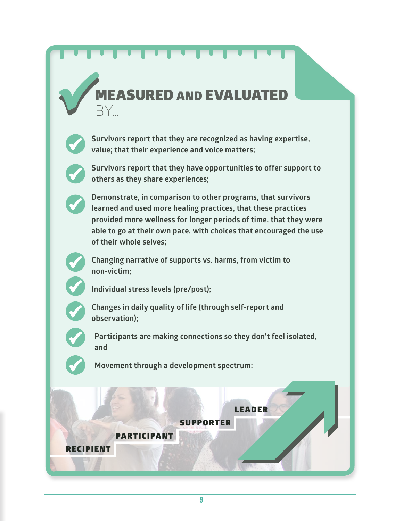### **ASURED AND EVALUATED** BY…



**Survivors report that they are recognized as having expertise, value; that their experience and voice matters;**



**Survivors report that they have opportunities to offer support to others as they share experiences;**



**Demonstrate, in comparison to other programs, that survivors learned and used more healing practices, that these practices provided more wellness for longer periods of time, that they were able to go at their own pace, with choices that encouraged the use of their whole selves;**



**Changing narrative of supports vs. harms, from victim to non-victim;**



**Individual stress levels (pre/post);**

PARTICIPANT



**Changes in daily quality of life (through self-report and observation);**



**Participants are making connections so they don't feel isolated, and**

**Movement through a development spectrum:**

SUPPORTER

LEADER

### RECIPIENT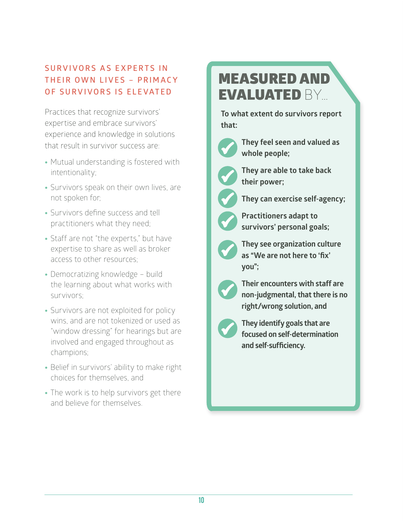### **SURVIVORS AS EXPERTS IN THEIR OWN LIVES - PRIMACY OF SURVIVORS IS ELEVATED**

Practices that recognize survivors' expertise and embrace survivors' experience and knowledge in solutions that result in survivor success are:

- Mutual understanding is fostered with intentionality;
- Survivors speak on their own lives, are not spoken for;
- Survivors define success and tell practitioners what they need;
- Staff are not "the experts," but have expertise to share as well as broker access to other resources;
- Democratizing knowledge build the learning about what works with survivors;
- Survivors are not exploited for policy wins, and are not tokenized or used as "window dressing" for hearings but are involved and engaged throughout as champions;
- Belief in survivors' ability to make right choices for themselves, and
- The work is to help survivors get there and believe for themselves.

# MEASURED AND EVALUATED BY…

**To what extent do survivors report that:**



**They feel seen and valued as whole people;**



**They are able to take back their power;**



**They can exercise self-agency;**



**Practitioners adapt to survivors' personal goals;**



**They see organization culture as "We are not here to 'fix' you";**



**Their encounters with staff are non-judgmental, that there is no right/wrong solution, and**



**They identify goals that are focused on self-determination and self-sufficiency.**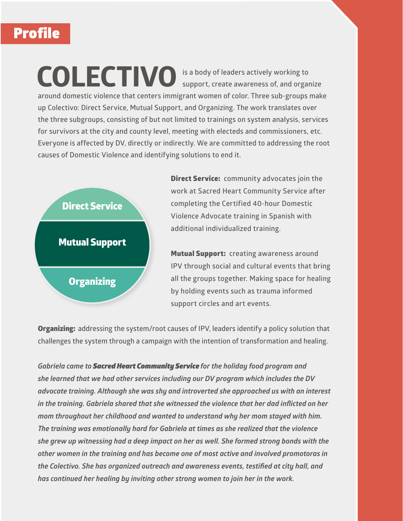# **Profile**

**COLECTIVO is a body of leaders actively working to support, create awareness of, and organize around domestic violence that centers immigrant women of color. Three sub-groups make up Colectivo: Direct Service, Mutual Support, and Organizing. The work translates over the three subgroups, consisting of but not limited to trainings on system analysis, services for survivors at the city and county level, meeting with electeds and commissioners, etc. Everyone is affected by DV, directly or indirectly. We are committed to addressing the root causes of Domestic Violence and identifying solutions to end it.** 



Direct Service: **community advocates join the work at Sacred Heart Community Service after completing the Certified 40-hour Domestic Violence Advocate training in Spanish with additional individualized training.** 

Mutual Support: **creating awareness around IPV through social and cultural events that bring all the groups together. Making space for healing by holding events such as trauma informed support circles and art events.**

Organizing: **addressing the system/root causes of IPV, leaders identify a policy solution that challenges the system through a campaign with the intention of transformation and healing.** 

*Gabriela came to Sacred Heart Community Service for the holiday food program and she learned that we had other services including our DV program which includes the DV advocate training. Although she was shy and introverted she approached us with an interest in the training. Gabriela shared that she witnessed the violence that her dad inflicted on her mom throughout her childhood and wanted to understand why her mom stayed with him. The training was emotionally hard for Gabriela at times as she realized that the violence she grew up witnessing had a deep impact on her as well. She formed strong bonds with the other women in the training and has become one of most active and involved promotoras in the Colectivo. She has organized outreach and awareness events, testified at city hall, and has continued her healing by inviting other strong women to join her in the work.*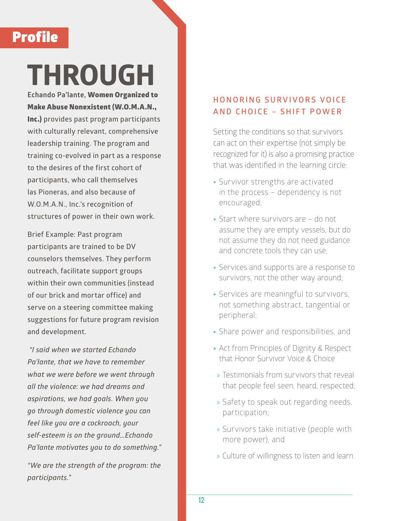### Profile

# **THROUGH**

**Echando Pa'lante,** Women Organized to Make Abuse Nonexistent (W.O.M.A.N., Inc.) **provides past program participants with culturally relevant, comprehensive leadership training. The program and training co-evolved in part as a response to the desires of the first cohort of participants, who call themselves las Pioneras, and also because of W.O.M.A.N., Inc.'s recognition of structures of power in their own work.**

**Brief Example: Past program participants are trained to be DV counselors themselves. They perform outreach, facilitate support groups within their own communities (instead of our brick and mortar office) and serve on a steering committee making suggestions for future program revision and development.** 

 *"I said when we started Echando Pa'lante, that we have to remember what we were before we went through all the violence: we had dreams and aspirations, we had goals. When you go through domestic violence you can feel like you are a cockroach, your self-esteem is on the ground…Echando Pa'lante motivates you to do something."*

*"We are the strength of the program: the participants."* 

### **H O N O R I N G S U R V I V O R S V O I C E AND CHOICE – SHIFT POWER**

Setting the conditions so that survivors can act on their expertise (not simply be recognized for it) is also a promising practice that was identified in the learning circle:

- Survivor strengths are activated in the process – dependency is not encouraged;
- Start where survivors are do not assume they are empty vessels, but do not assume they do not need guidance and concrete tools they can use;
- Services and supports are a response to survivors, not the other way around;
- Services are meaningful to survivors, not something abstract, tangential or peripheral;
- Share power and responsibilities, and
- Act from Principles of Dignity & Respect that Honor Survivor Voice & Choice
- » Testimonials from survivors that reveal that people feel seen, heard, respected;
- » Safety to speak out regarding needs, participation;
- » Survivors take initiative (people with more power), and
- » Culture of willingness to listen and learn.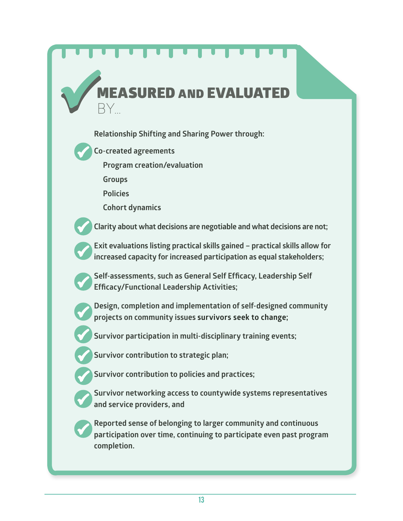# **Relationship Shifting and Sharing Power through: Co-created agreements Program creation/evaluation Groups Policies Cohort dynamics Clarity about what decisions are negotiable and what decisions are not; Exit evaluations listing practical skills gained – practical skills allow for increased capacity for increased participation as equal stakeholders; Self-assessments, such as General Self Efficacy, Leadership Self Efficacy/Functional Leadership Activities; Design, completion and implementation of self-designed community projects on community issues survivors seek to change; Survivor participation in multi-disciplinary training events; Survivor contribution to strategic plan; Survivor contribution to policies and practices; Survivor networking access to countywide systems representatives and service providers, and RED AND EVALUATE** BY…

**Reported sense of belonging to larger community and continuous participation over time, continuing to participate even past program completion.**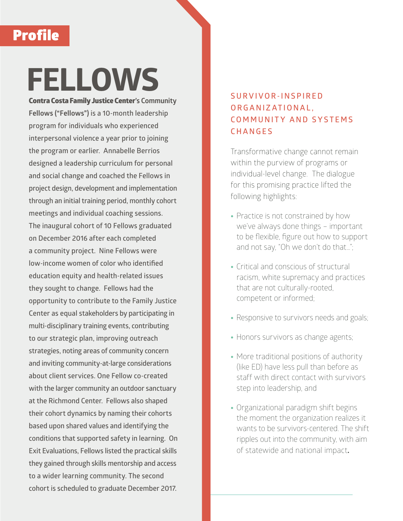## Profile

# **FELLOWS**

Contra Costa Family Justice Center**'s Community Fellows ("Fellows") is a 10-month leadership program for individuals who experienced interpersonal violence a year prior to joining the program or earlier. Annabelle Berrios designed a leadership curriculum for personal and social change and coached the Fellows in project design, development and implementation through an initial training period, monthly cohort meetings and individual coaching sessions. The inaugural cohort of 10 Fellows graduated on December 2016 after each completed a community project. Nine Fellows were low-income women of color who identified education equity and health-related issues they sought to change. Fellows had the opportunity to contribute to the Family Justice Center as equal stakeholders by participating in multi-disciplinary training events, contributing to our strategic plan, improving outreach strategies, noting areas of community concern and inviting community-at-large considerations about client services. One Fellow co-created with the larger community an outdoor sanctuary at the Richmond Center. Fellows also shaped their cohort dynamics by naming their cohorts based upon shared values and identifying the conditions that supported safety in learning. On Exit Evaluations, Fellows listed the practical skills they gained through skills mentorship and access to a wider learning community. The second cohort is scheduled to graduate December 2017.**

### **S U R V I V O R - I N S P I R E D O R G A N I Z AT I O N A L , C O M M U N I T Y A N D S Y S T E M S CHANGES**

Transformative change cannot remain within the purview of programs or individual-level change. The dialogue for this promising practice lifted the following highlights:

- Practice is not constrained by how we've always done things – important to be flexible, figure out how to support and not say, "Oh we don't do that…";
- Critical and conscious of structural racism, white supremacy and practices that are not culturally-rooted, competent or informed;
- Responsive to survivors needs and goals;
- Honors survivors as change agents;
- More traditional positions of authority (like ED) have less pull than before as staff with direct contact with survivors step into leadership, and
- Organizational paradigm shift begins the moment the organization realizes it wants to be survivors-centered. The shift ripples out into the community, with aim of statewide and national impact**.**

14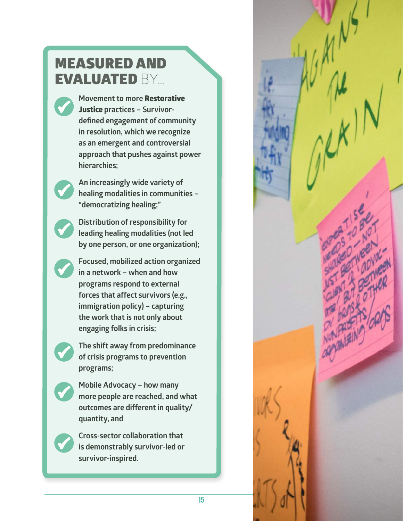## MEASURED AND EVALUATED BY…

**Movement to more** Restorative Justice **practices – Survivordefined engagement of community in resolution, which we recognize as an emergent and controversial approach that pushes against power hierarchies;**

**An increasingly wide variety of healing modalities in communities – "democratizing healing;"** 

**Distribution of responsibility for leading healing modalities (not led by one person, or one organization);**

**Focused, mobilized action organized in a network – when and how programs respond to external forces that affect survivors (e.g., immigration policy) – capturing the work that is not only about engaging folks in crisis;**

**The shift away from predominance of crisis programs to prevention programs;**

**Mobile Advocacy – how many more people are reached, and what outcomes are different in quality/ quantity, and**

**Cross-sector collaboration that is demonstrably survivor-led or survivor-inspired.**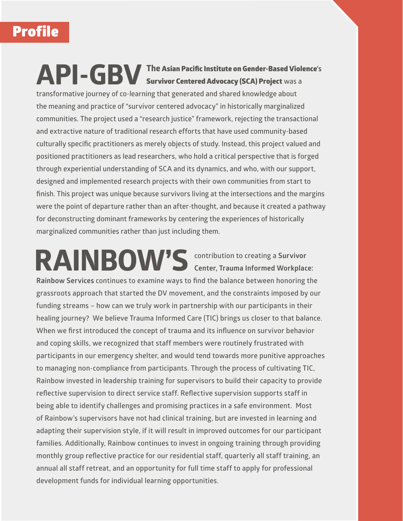# Profile

### **API-GBVThe** Asian Pacific Institute on Gender-Based Violence**'s**  Survivor Centered Advocacy (SCA) Project **was a**

**transformative journey of co-learning that generated and shared knowledge about the meaning and practice of "survivor centered advocacy" in historically marginalized communities. The project used a "research justice" framework, rejecting the transactional and extractive nature of traditional research efforts that have used community-based culturally specific practitioners as merely objects of study. Instead, this project valued and positioned practitioners as lead researchers, who hold a critical perspective that is forged through experiential understanding of SCA and its dynamics, and who, with our support, designed and implemented research projects with their own communities from start to finish. This project was unique because survivors living at the intersections and the margins were the point of departure rather than an after-thought, and because it created a pathway for deconstructing dominant frameworks by centering the experiences of historically marginalized communities rather than just including them.** 

**RAINBOW'S contribution to creating a Survivor Center, Trauma Informed Workplace: Rainbow Services continues to examine ways to find the balance between honoring the grassroots approach that started the DV movement, and the constraints imposed by our funding streams – how can we truly work in partnership with our participants in their healing journey? We believe Trauma Informed Care (TIC) brings us closer to that balance. When we first introduced the concept of trauma and its influence on survivor behavior and coping skills, we recognized that staff members were routinely frustrated with participants in our emergency shelter, and would tend towards more punitive approaches to managing non-compliance from participants. Through the process of cultivating TIC, Rainbow invested in leadership training for supervisors to build their capacity to provide reflective supervision to direct service staff. Reflective supervision supports staff in being able to identify challenges and promising practices in a safe environment. Most of Rainbow's supervisors have not had clinical training, but are invested in learning and adapting their supervision style, if it will result in improved outcomes for our participant families. Additionally, Rainbow continues to invest in ongoing training through providing monthly group reflective practice for our residential staff, quarterly all staff training, an annual all staff retreat, and an opportunity for full time staff to apply for professional development funds for individual learning opportunities.**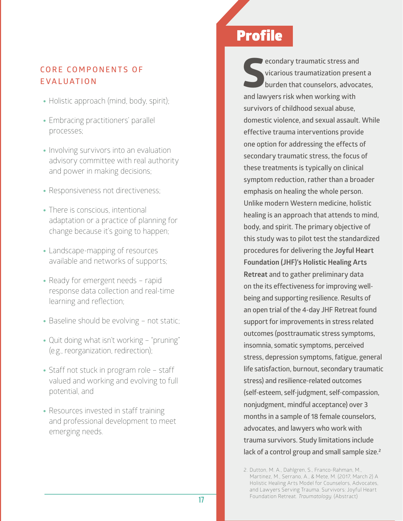### **CORE COMPONENTS OF EVALUATION**

- Holistic approach (mind, body, spirit);
- Embracing practitioners' parallel processes;
- Involving survivors into an evaluation advisory committee with real authority and power in making decisions;
- Responsiveness not directiveness;
- There is conscious, intentional adaptation or a practice of planning for change because it's going to happen;
- Landscape-mapping of resources available and networks of supports;
- Ready for emergent needs rapid response data collection and real-time learning and reflection;
- Baseline should be evolving not static;
- Quit doing what isn't working "pruning" (e.g., reorganization, redirection);
- Staff not stuck in program role staff valued and working and evolving to full potential, and
- Resources invested in staff training and professional development to meet emerging needs.

### Profile

**and S**<br> **and S**<br> **and lawyers risk when working with <b>S**<br> **and lawyers risk when working with econdary traumatic stress and vicarious traumatization present a burden that counselors, advocates, survivors of childhood sexual abuse, domestic violence, and sexual assault. While effective trauma interventions provide one option for addressing the effects of secondary traumatic stress, the focus of these treatments is typically on clinical symptom reduction, rather than a broader emphasis on healing the whole person. Unlike modern Western medicine, holistic healing is an approach that attends to mind, body, and spirit. The primary objective of this study was to pilot test the standardized procedures for delivering the Joyful Heart Foundation (JHF)'s Holistic Healing Arts Retreat and to gather preliminary data on the its effectiveness for improving wellbeing and supporting resilience. Results of an open trial of the 4-day JHF Retreat found support for improvements in stress related outcomes (posttraumatic stress symptoms, insomnia, somatic symptoms, perceived stress, depression symptoms, fatigue, general life satisfaction, burnout, secondary traumatic stress) and resilience-related outcomes (self-esteem, self-judgment, self-compassion, nonjudgment, mindful acceptance) over 3 months in a sample of 18 female counselors, advocates, and lawyers who work with trauma survivors. Study limitations include lack of a control group and small sample size.<sup>2</sup>**

<sup>2.</sup> Dutton, M. A., Dahlgren, S., Franco-Rahman, M., Martinez, M., Serrano, A., & Mete, M. (2017, March 2) A Holistic Healing Arts Model for Counselors, Advocates, and Lawyers Serving Trauma. Survivors: Joyful Heart Foundation Retreat. *Traumatology*. (Abstract)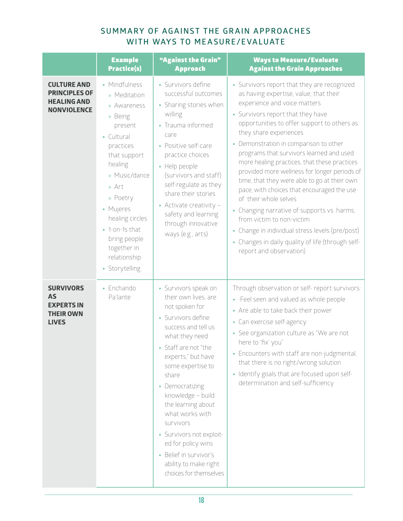### **SUMMARY OF AGAINST THE GRAIN APPROACHES WITH WAYS TO MEASURE/EVALUATE**

|                                                                                        | <b>Example</b><br><b>Practice(s)</b>                                                                                                                                                                                                                                              | "Against the Grain"<br><b>Approach</b>                                                                                                                                                                                                                                                                                                                                                                                                 | <b>Ways to Measure/Evaluate</b><br><b>Against the Grain Approaches</b>                                                                                                                                                                                                                                                                                                                                                                                                                                                                                                                                                                                                                                                                                          |
|----------------------------------------------------------------------------------------|-----------------------------------------------------------------------------------------------------------------------------------------------------------------------------------------------------------------------------------------------------------------------------------|----------------------------------------------------------------------------------------------------------------------------------------------------------------------------------------------------------------------------------------------------------------------------------------------------------------------------------------------------------------------------------------------------------------------------------------|-----------------------------------------------------------------------------------------------------------------------------------------------------------------------------------------------------------------------------------------------------------------------------------------------------------------------------------------------------------------------------------------------------------------------------------------------------------------------------------------------------------------------------------------------------------------------------------------------------------------------------------------------------------------------------------------------------------------------------------------------------------------|
| <b>CULTURE AND</b><br><b>PRINCIPLES OF</b><br><b>HEALING AND</b><br><b>NONVIOLENCE</b> | • Mindfulness<br>» Meditation<br>» Awareness<br>» Being<br>present<br>• Cultural<br>practices<br>that support<br>healing<br>» Music/dance<br>» Art<br>» Poetry<br>• Mujeres<br>healing circles<br>• 1-on-1s that<br>bring people<br>together in<br>relationship<br>• Storytelling | • Survivors define<br>successful outcomes<br>• Sharing stories when<br>willing<br>• Trauma informed<br>care<br>• Positive self-care<br>practice choices<br>• Help people<br>(survivors and staff)<br>self-regulate as they<br>share their stories<br>• Activate creativity -<br>safety and learning<br>through innovative<br>ways (e.g., arts)                                                                                         | • Survivors report that they are recognized<br>as having expertise, value; that their<br>experience and voice matters<br>• Survivors report that they have<br>opportunities to offer support to others as<br>they share experiences<br>• Demonstration in comparison to other<br>programs that survivors learned and used<br>more healing practices, that these practices<br>provided more wellness for longer periods of<br>time, that they were able to go at their own<br>pace, with choices that encouraged the use<br>of their whole selves<br>• Changing narrative of supports vs. harms,<br>from victim to non-victim<br>• Change in individual stress levels (pre/post)<br>• Changes in daily quality of life (through self-<br>report and observation) |
| <b>SURVIVORS</b><br><b>AS</b><br><b>EXPERTS IN</b><br><b>THEIR OWN</b><br><b>LIVES</b> | • Enchando<br>Pa'lante                                                                                                                                                                                                                                                            | • Survivors speak on<br>their own lives, are<br>not spoken for<br>• Survivors define<br>success and tell us<br>what they need<br>• Staff are not "the<br>experts," but have<br>some expertise to<br>share<br>• Democratizing<br>knowledge - build<br>the learning about<br>what works with<br>survivors<br>• Survivors not exploit-<br>ed for policy wins<br>• Belief in survivor's<br>ability to make right<br>choices for themselves | Through observation or self- report survivors:<br>• Feel seen and valued as whole people<br>• Are able to take back their power<br>• Can exercise self-agency<br>• See organization culture as "We are not<br>here to 'fix' you"<br>• Encounters with staff are non-judgmental,<br>that there is no right/wrong solution<br>· Identify goals that are focused upon self-<br>determination and self-sufficiency                                                                                                                                                                                                                                                                                                                                                  |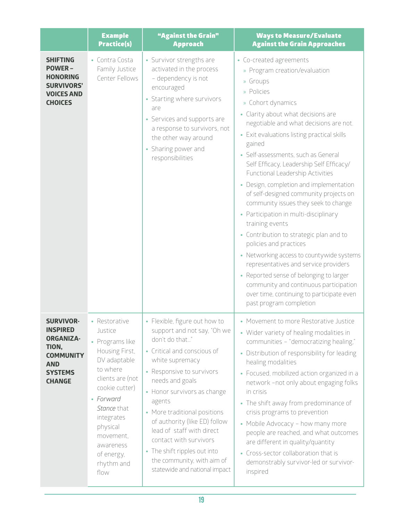|                                                                                                                                       | <b>Example</b><br><b>Practice(s)</b>                                                                                                                                                                                                                | "Against the Grain"<br><b>Approach</b>                                                                                                                                                                                                                                                                                                                                                                                                           | <b>Ways to Measure/Evaluate</b><br><b>Against the Grain Approaches</b>                                                                                                                                                                                                                                                                                                                                                                                                                                                                                                                                                                                                                                                                                                                                                                                                                   |
|---------------------------------------------------------------------------------------------------------------------------------------|-----------------------------------------------------------------------------------------------------------------------------------------------------------------------------------------------------------------------------------------------------|--------------------------------------------------------------------------------------------------------------------------------------------------------------------------------------------------------------------------------------------------------------------------------------------------------------------------------------------------------------------------------------------------------------------------------------------------|------------------------------------------------------------------------------------------------------------------------------------------------------------------------------------------------------------------------------------------------------------------------------------------------------------------------------------------------------------------------------------------------------------------------------------------------------------------------------------------------------------------------------------------------------------------------------------------------------------------------------------------------------------------------------------------------------------------------------------------------------------------------------------------------------------------------------------------------------------------------------------------|
| <b>SHIFTING</b><br><b>POWER-</b><br><b>HONORING</b><br><b>SURVIVORS'</b><br><b>VOICES AND</b><br><b>CHOICES</b>                       | • Contra Costa<br>Family Justice<br>Center Fellows                                                                                                                                                                                                  | • Survivor strengths are<br>activated in the process<br>- dependency is not<br>encouraged<br>• Starting where survivors<br>are<br>• Services and supports are<br>a response to survivors, not<br>the other way around<br>• Sharing power and<br>responsibilities                                                                                                                                                                                 | • Co-created agreements<br>» Program creation/evaluation<br>» Groups<br>» Policies<br>» Cohort dynamics<br>• Clarity about what decisions are<br>negotiable and what decisions are not.<br>• Exit evaluations listing practical skills<br>gained<br>• Self-assessments, such as General<br>Self Efficacy, Leadership Self Efficacy/<br>Functional Leadership Activities<br>• Design, completion and implementation<br>of self-designed community projects on<br>community issues they seek to change<br>• Participation in multi-disciplinary<br>training events<br>• Contribution to strategic plan and to<br>policies and practices<br>• Networking access to countywide systems<br>representatives and service providers<br>• Reported sense of belonging to larger<br>community and continuous participation<br>over time, continuing to participate even<br>past program completion |
| <b>SURVIVOR-</b><br><b>INSPIRED</b><br><b>ORGANIZA-</b><br>TION,<br><b>COMMUNITY</b><br><b>AND</b><br><b>SYSTEMS</b><br><b>CHANGE</b> | • Restorative<br>Justice<br>• Programs like<br>Housing First,<br>DV adaptable<br>to where<br>clients are (not<br>cookie cutter)<br>• Forward<br>Stance that<br>integrates<br>physical<br>movement,<br>awareness<br>of energy,<br>rhythm and<br>flow | • Flexible, figure out how to<br>support and not say, "Oh we<br>don't do that"<br>• Critical and conscious of<br>white supremacy<br>• Responsive to survivors<br>needs and goals<br>• Honor survivors as change<br>agents<br>• More traditional positions<br>of authority (like ED) follow<br>lead of staff with direct<br>contact with survivors<br>• The shift ripples out into<br>the community, with aim of<br>statewide and national impact | • Movement to more Restorative Justice<br>• Wider variety of healing modalities in<br>communities - "democratizing healing,"<br>• Distribution of responsibility for leading<br>healing modalities<br>• Focused, mobilized action organized in a<br>network -not only about engaging folks<br>in crisis<br>• The shift away from predominance of<br>crisis programs to prevention<br>• Mobile Advocacy - how many more<br>people are reached, and what outcomes<br>are different in quality/quantity<br>• Cross-sector collaboration that is<br>demonstrably survivor-led or survivor-<br>inspired                                                                                                                                                                                                                                                                                       |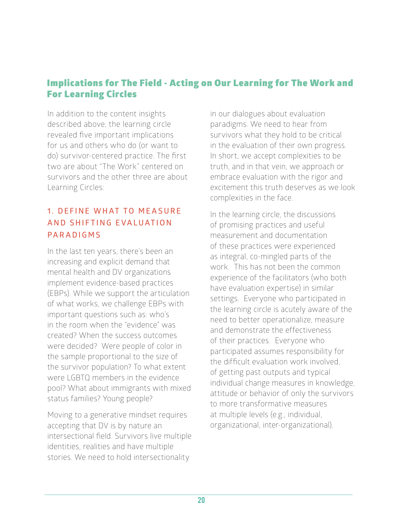### Implications for The Field - Acting on Our Learning for The Work and For Learning Circles

In addition to the content insights described above, the learning circle revealed five important implications for us and others who do (or want to do) survivor-centered practice. The first two are about "The Work" centered on survivors and the other three are about Learning Circles:

### **1. DEFINE WHAT TO MEASURE A N D S H I F T I N G E VA L U AT I O N PARADIGMS**

In the last ten years, there's been an increasing and explicit demand that mental health and DV organizations implement evidence-based practices (EBPs). While we support the articulation of what works, we challenge EBPs with important questions such as: who's in the room when the "evidence" was created? When the success outcomes were decided? Were people of color in the sample proportional to the size of the survivor population? To what extent were LGBTQ members in the evidence pool? What about immigrants with mixed status families? Young people?

Moving to a generative mindset requires accepting that DV is by nature an intersectional field. Survivors live multiple identities, realities and have multiple stories. We need to hold intersectionality

in our dialogues about evaluation paradigms. We need to hear from survivors what they hold to be critical in the evaluation of their own progress. In short, we accept complexities to be truth, and in that vein, we approach or embrace evaluation with the rigor and excitement this truth deserves as we look complexities in the face.

In the learning circle, the discussions of promising practices and useful measurement and documentation of these practices were experienced as integral, co-mingled parts of the work. This has not been the common experience of the facilitators (who both have evaluation expertise) in similar settings. Everyone who participated in the learning circle is acutely aware of the need to better operationalize, measure and demonstrate the effectiveness of their practices. Everyone who participated assumes responsibility for the difficult evaluation work involved, of getting past outputs and typical individual change measures in knowledge, attitude or behavior of only the survivors to more transformative measures at multiple levels (e.g., individual, organizational, inter-organizational).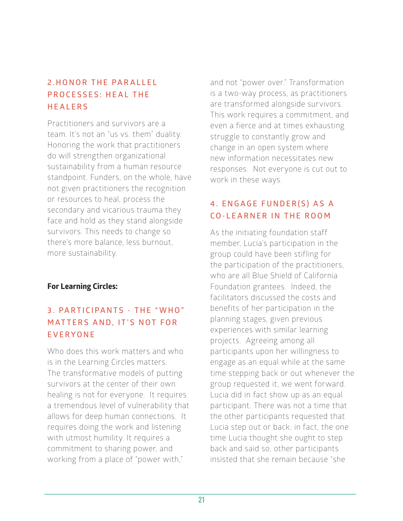### **2 . H O N O R T H E PA R A L L E L P R O C E S S E S : H E A L T H E HEALERS**

Practitioners and survivors are a team. It's not an "us vs. them" duality. Honoring the work that practitioners do will strengthen organizational sustainability from a human resource standpoint. Funders, on the whole, have not given practitioners the recognition or resources to heal, process the secondary and vicarious trauma they face and hold as they stand alongside survivors. This needs to change so there's more balance, less burnout, more sustainability.

### **For Learning Circles:**

### **3 . PA R T I C I PA N T S - T H E " W H O " MATTERS AND, IT'S NOT FOR EVERYONE**

Who does this work matters and who is in the Learning Circles matters. The transformative models of putting survivors at the center of their own healing is not for everyone. It requires a tremendous level of vulnerability that allows for deep human connections. It requires doing the work and listening with utmost humility. It requires a commitment to sharing power, and working from a place of "power with,"

and not "power over." Transformation is a two-way process, as practitioners are transformed alongside survivors. This work requires a commitment, and even a fierce and at times exhausting struggle to constantly grow and change in an open system where new information necessitates new responses. Not everyone is cut out to work in these ways.

### **4 . E N G A G E F U N D E R ( S ) A S A CO-LEARNER IN THE ROOM**

As the initiating foundation staff member, Lucia's participation in the group could have been stifling for the participation of the practitioners, who are all Blue Shield of California Foundation grantees. Indeed, the facilitators discussed the costs and benefits of her participation in the planning stages, given previous experiences with similar learning projects. Agreeing among all participants upon her willingness to engage as an equal while at the same time stepping back or out whenever the group requested it, we went forward. Lucia did in fact show up as an equal participant. There was not a time that the other participants requested that Lucia step out or back; in fact, the one time Lucia thought she ought to step back and said so, other participants insisted that she remain because "she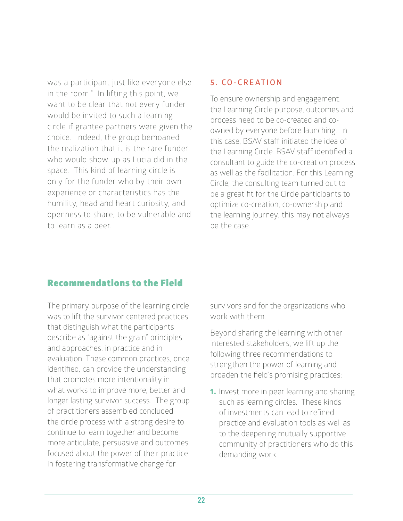was a participant just like everyone else in the room." In lifting this point, we want to be clear that not every funder would be invited to such a learning circle if grantee partners were given the choice. Indeed, the group bemoaned the realization that it is the rare funder who would show-up as Lucia did in the space. This kind of learning circle is only for the funder who by their own experience or characteristics has the humility, head and heart curiosity, and openness to share, to be vulnerable and to learn as a peer.

#### **5. CO-CREATION**

To ensure ownership and engagement, the Learning Circle purpose, outcomes and process need to be co-created and coowned by everyone before launching. In this case, BSAV staff initiated the idea of the Learning Circle. BSAV staff identified a consultant to guide the co-creation process as well as the facilitation. For this Learning Circle, the consulting team turned out to be a great fit for the Circle participants to optimize co-creation, co-ownership and the learning journey; this may not always be the case.

### Recommendations to the Field

The primary purpose of the learning circle was to lift the survivor-centered practices that distinguish what the participants describe as "against the grain" principles and approaches, in practice and in evaluation. These common practices, once identified, can provide the understanding that promotes more intentionality in what works to improve more, better and longer-lasting survivor success. The group of practitioners assembled concluded the circle process with a strong desire to continue to learn together and become more articulate, persuasive and outcomesfocused about the power of their practice in fostering transformative change for

survivors and for the organizations who work with them.

Beyond sharing the learning with other interested stakeholders, we lift up the following three recommendations to strengthen the power of learning and broaden the field's promising practices:

**1.** Invest more in peer-learning and sharing such as learning circles. These kinds of investments can lead to refined practice and evaluation tools as well as to the deepening mutually supportive community of practitioners who do this demanding work.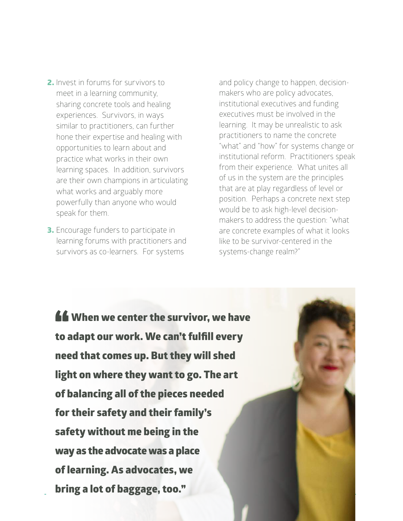- 2. Invest in forums for survivors to meet in a learning community, sharing concrete tools and healing experiences. Survivors, in ways similar to practitioners, can further hone their expertise and healing with opportunities to learn about and practice what works in their own learning spaces. In addition, survivors are their own champions in articulating what works and arguably more powerfully than anyone who would speak for them.
- **3.** Encourage funders to participate in learning forums with practitioners and survivors as co-learners. For systems

and policy change to happen, decisionmakers who are policy advocates, institutional executives and funding executives must be involved in the learning. It may be unrealistic to ask practitioners to name the concrete "what" and "how" for systems change or institutional reform. Practitioners speak from their experience. What unites all of us in the system are the principles that are at play regardless of level or position. Perhaps a concrete next step would be to ask high-level decisionmakers to address the question: "what are concrete examples of what it looks like to be survivor-centered in the systems-change realm?"

**46** When we center the survivor, we have<br>to adapt our work. We can't fulfill every to adapt our work. We can't fulfill every need that comes up. But they will shed light on where they want to go. The art of balancing all of the pieces needed for their safety and their family's safety without me being in the way as the advocate was a place of learning. As advocates, we bring a lot of baggage, too."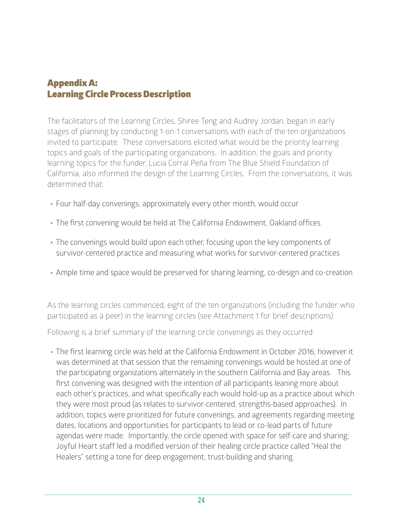### Appendix A: Learning Circle Process Description

The facilitators of the Learning Circles, Shiree Teng and Audrey Jordan, began in early stages of planning by conducting 1-on-1 conversations with each of the ten organizations invited to participate. These conversations elicited what would be the priority learning topics and goals of the participating organizations. In addition, the goals and priority learning topics for the funder, Lucia Corral Peña from The Blue Shield Foundation of California, also informed the design of the Learning Circles. From the conversations, it was determined that:

- Four half-day convenings, approximately every other month, would occur
- The first convening would be held at The California Endowment, Oakland offices
- The convenings would build upon each other, focusing upon the key components of survivor-centered practice and measuring what works for survivor-centered practices
- Ample time and space would be preserved for sharing learning, co-design and co-creation

As the learning circles commenced, eight of the ten organizations (including the funder who participated as a peer) in the learning circles (see Attachment 1 for brief descriptions).

Following is a brief summary of the learning circle convenings as they occurred:

• The first learning circle was held at the California Endowment in October 2016; however it was determined at that session that the remaining convenings would be hosted at one of the participating organizations alternately in the southern California and Bay areas. This first convening was designed with the intention of all participants leaning more about each other's practices, and what specifically each would hold-up as a practice about which they were most proud (as relates to survivor-centered, strengths-based approaches). In addition, topics were prioritized for future convenings, and agreements regarding meeting dates, locations and opportunities for participants to lead or co-lead parts of future agendas were made. Importantly, the circle opened with space for self-care and sharing; Joyful Heart staff led a modified version of their healing circle practice called "Heal the Healers" setting a tone for deep engagement, trust-building and sharing.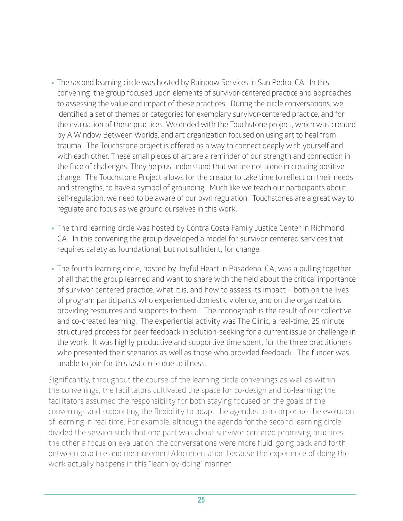- The second learning circle was hosted by Rainbow Services in San Pedro, CA. In this convening, the group focused upon elements of survivor-centered practice and approaches to assessing the value and impact of these practices. During the circle conversations, we identified a set of themes or categories for exemplary survivor-centered practice, and for the evaluation of these practices. We ended with the Touchstone project, which was created by A Window Between Worlds, and art organization focused on using art to heal from trauma. The Touchstone project is offered as a way to connect deeply with yourself and with each other. These small pieces of art are a reminder of our strength and connection in the face of challenges. They help us understand that we are not alone in creating positive change. The Touchstone Project allows for the creator to take time to reflect on their needs and strengths, to have a symbol of grounding. Much like we teach our participants about self-regulation, we need to be aware of our own regulation. Touchstones are a great way to regulate and focus as we ground ourselves in this work.
- The third learning circle was hosted by Contra Costa Family Justice Center in Richmond, CA. In this convening the group developed a model for survivor-centered services that requires safety as foundational, but not sufficient, for change.
- The fourth learning circle, hosted by Joyful Heart in Pasadena, CA, was a pulling together of all that the group learned and want to share with the field about the critical importance of survivor-centered practice, what it is, and how to assess its impact – both on the lives of program participants who experienced domestic violence, and on the organizations providing resources and supports to them. The monograph is the result of our collective and co-created learning. The experiential activity was The Clinic, a real-time, 25 minute structured process for peer feedback in solution-seeking for a current issue or challenge in the work. It was highly productive and supportive time spent, for the three practitioners who presented their scenarios as well as those who provided feedback. The funder was unable to join for this last circle due to illness.

Significantly, throughout the course of the learning circle convenings as well as within the convenings, the facilitators cultivated the space for co-design and co-learning; the facilitators assumed the responsibility for both staying focused on the goals of the convenings and supporting the flexibility to adapt the agendas to incorporate the evolution of learning in real time. For example, although the agenda for the second learning circle divided the session such that one part was about survivor-centered promising practices the other a focus on evaluation, the conversations were more fluid, going back and forth between practice and measurement/documentation because the experience of doing the work actually happens in this "learn-by-doing" manner.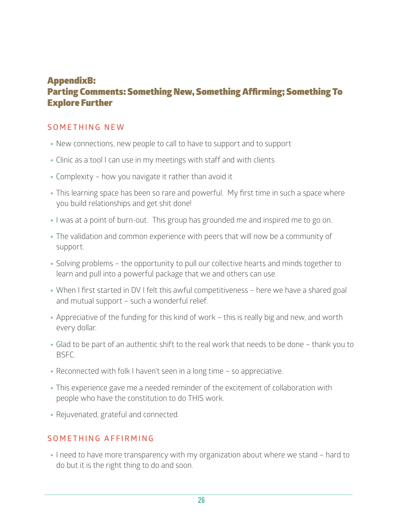### AppendixB: Parting Comments: Something New, Something Affirming; Something To Explore Further

### **SOMETHING NEW**

- New connections, new people to call to have to support and to support
- Clinic as a tool I can use in my meetings with staff and with clients
- Complexity how you navigate it rather than avoid it
- This learning space has been so rare and powerful. My first time in such a space where you build relationships and get shit done!
- I was at a point of burn-out. This group has grounded me and inspired me to go on.
- The validation and common experience with peers that will now be a community of support.
- Solving problems the opportunity to pull our collective hearts and minds together to learn and pull into a powerful package that we and others can use.
- When I first started in DV I felt this awful competitiveness here we have a shared goal and mutual support – such a wonderful relief.
- Appreciative of the funding for this kind of work this is really big and new, and worth every dollar.
- Glad to be part of an authentic shift to the real work that needs to be done thank you to BSFC.
- Reconnected with folk I haven't seen in a long time so appreciative.
- This experience gave me a needed reminder of the excitement of collaboration with people who have the constitution to do THIS work.
- Rejuvenated, grateful and connected.

### **SOMETHING AFFIRMING**

• I need to have more transparency with my organization about where we stand – hard to do but it is the right thing to do and soon.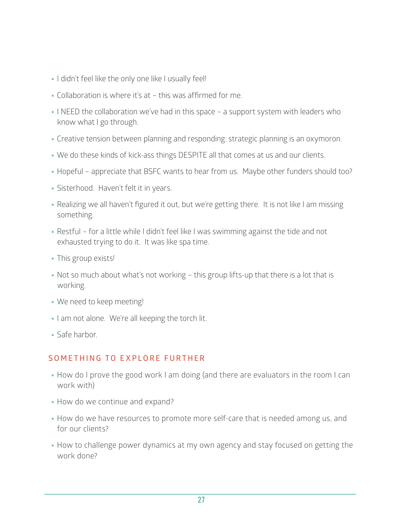- I didn't feel like the only one like I usually feel!
- Collaboration is where it's at this was affirmed for me.
- I NEED the collaboration we've had in this space a support system with leaders who know what I go through.
- Creative tension between planning and responding: strategic planning is an oxymoron.
- We do these kinds of kick-ass things DESPITE all that comes at us and our clients.
- Hopeful appreciate that BSFC wants to hear from us. Maybe other funders should too?
- Sisterhood. Haven't felt it in years.
- Realizing we all haven't figured it out, but we're getting there. It is not like I am missing something.
- Restful for a little while I didn't feel like I was swimming against the tide and not exhausted trying to do it. It was like spa time.
- This group exists!
- Not so much about what's not working this group lifts-up that there is a lot that is working.
- We need to keep meeting!
- I am not alone. We're all keeping the torch lit.
- Safe harbor.

### **SOMETHING TO EXPLORE FURTHER**

- How do I prove the good work I am doing (and there are evaluators in the room I can work with)
- How do we continue and expand?
- How do we have resources to promote more self-care that is needed among us, and for our clients?
- How to challenge power dynamics at my own agency and stay focused on getting the work done?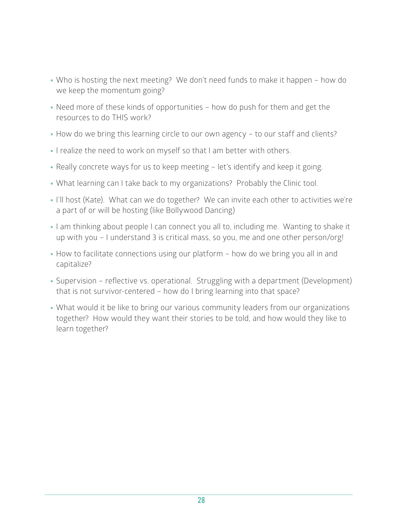- Who is hosting the next meeting? We don't need funds to make it happen how do we keep the momentum going?
- Need more of these kinds of opportunities how do push for them and get the resources to do THIS work?
- How do we bring this learning circle to our own agency to our staff and clients?
- I realize the need to work on myself so that I am better with others.
- Really concrete ways for us to keep meeting let's identify and keep it going.
- What learning can I take back to my organizations? Probably the Clinic tool.
- I'll host (Kate). What can we do together? We can invite each other to activities we're a part of or will be hosting (like Bollywood Dancing)
- I am thinking about people I can connect you all to, including me. Wanting to shake it up with you – I understand 3 is critical mass, so you, me and one other person/org!
- How to facilitate connections using our platform how do we bring you all in and capitalize?
- Supervision reflective vs. operational. Struggling with a department (Development) that is not survivor-centered – how do I bring learning into that space?
- What would it be like to bring our various community leaders from our organizations together? How would they want their stories to be told, and how would they like to learn together?